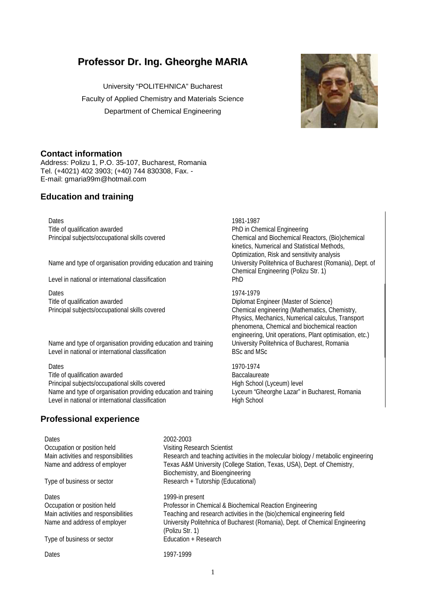# **Professor Dr. Ing. Gheorghe MARIA**

University "POLITEHNICA" Bucharest Faculty of Applied Chemistry and Materials Science Department of Chemical Engineering



# **Contact information**

Address: Polizu 1, P.O. 35-107, Bucharest, Romania Tel. (+4021) 402 3903; (+40) 744 830308, Fax. - E-mail: gmaria99m@hotmail.com

# **Education and training**

Dates 1981-1987 Title of qualification awarded **PhD** in Chemical Engineering

Name and type of organisation providing education and training University Politehnica of Bucharest (Romania), Dept. of

Level in national or international classification PhD

Dates<br>Title of qualification awarded<br>Diplomat E

Name and type of organisation providing education and training University Politehnica of Bucharest, Romania<br>Level in national or international classification BSc and MSc and MSc Level in national or international classification

Dates 1970-1974 Title of qualification awarded Baccalaureate Principal subjects/occupational skills covered High School (Lyceum) level Name and type of organisation providing education and training Lyceum "Gheorghe Lazar" in Bucharest, Romania Level in national or international classification https://www.high School

# **Professional experience**

Principal subjects/occupational skills covered Chemical and Biochemical Reactors, (Bio)chemical kinetics, Numerical and Statistical Methods, Optimization, Risk and sensitivity analysis Chemical Engineering (Polizu Str. 1)

Diplomat Engineer (Master of Science) Principal subjects/occupational skills covered Chemical engineering (Mathematics, Chemistry, Physics, Mechanics, Numerical calculus, Transport phenomena, Chemical and biochemical reaction engineering, Unit operations, Plant optimisation, etc.)

Dates 2002-2003 Occupation or position held Visiting Research Scientist Main activities and responsibilities **Research and teaching activities in the molecular biology** / metabolic engineering Name and address of employer Texas A&M University (College Station, Texas, USA), Dept. of Chemistry, Biochemistry, and Bioengineering Type of business or sector Research + Tutorship (Educational) Dates 2001 and 2008 1999-in present Occupation or position held Professor in Chemical & Biochemical Reaction Engineering Main activities and responsibilities Teaching and research activities in the (bio)chemical engineering field Name and address of employer University Politehnica of Bucharest (Romania), Dept. of Chemical Engineering (Polizu Str. 1)<br>Education + Research Type of business or sector Dates 1997-1999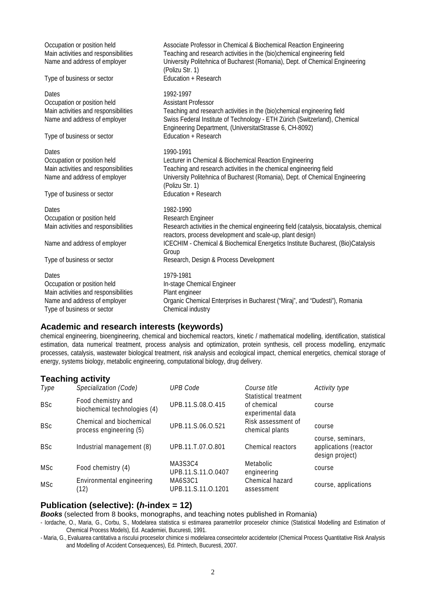| Occupation or position held<br>Main activities and responsibilities<br>Name and address of employer<br>Type of business or sector          | Associate Professor in Chemical & Biochemical Reaction Engineering<br>Teaching and research activities in the (bio)chemical engineering field<br>University Politehnica of Bucharest (Romania), Dept. of Chemical Engineering<br>(Polizu Str. 1)<br>Education + Research                                                      |
|--------------------------------------------------------------------------------------------------------------------------------------------|-------------------------------------------------------------------------------------------------------------------------------------------------------------------------------------------------------------------------------------------------------------------------------------------------------------------------------|
| Dates<br>Occupation or position held<br>Main activities and responsibilities<br>Name and address of employer<br>Type of business or sector | 1992-1997<br><b>Assistant Professor</b><br>Teaching and research activities in the (bio)chemical engineering field<br>Swiss Federal Institute of Technology - ETH Zürich (Switzerland), Chemical<br>Engineering Department, (UniversitatStrasse 6, CH-8092)<br>Education + Research                                           |
| Dates<br>Occupation or position held<br>Main activities and responsibilities<br>Name and address of employer<br>Type of business or sector | 1990-1991<br>Lecturer in Chemical & Biochemical Reaction Engineering<br>Teaching and research activities in the chemical engineering field<br>University Politehnica of Bucharest (Romania), Dept. of Chemical Engineering<br>(Polizu Str. 1)<br>Education + Research                                                         |
| Dates<br>Occupation or position held<br>Main activities and responsibilities<br>Name and address of employer<br>Type of business or sector | 1982-1990<br>Research Engineer<br>Research activities in the chemical engineering field (catalysis, biocatalysis, chemical<br>reactors, process development and scale-up, plant design)<br>ICECHIM - Chemical & Biochemical Energetics Institute Bucharest, (Bio)Catalysis<br>Group<br>Research, Design & Process Development |
| Dates<br>Occupation or position held<br>Main activities and responsibilities<br>Name and address of employer<br>Type of business or sector | 1979-1981<br>In-stage Chemical Engineer<br>Plant engineer<br>Organic Chemical Enterprises in Bucharest ("Miraj", and "Dudesti"), Romania<br>Chemical industry                                                                                                                                                                 |

## **Academic and research interests (keywords)**

chemical engineering, bioengineering, chemical and biochemical reactors, kinetic / mathematical modelling, identification, statistical estimation, data numerical treatment, process analysis and optimization, protein synthesis, cell process modelling, enzymatic processes, catalysis, wastewater biological treatment, risk analysis and ecological impact, chemical energetics, chemical storage of energy, systems biology, metabolic engineering, computational biology, drug delivery.

## **Teaching activity**

| Type       | Specialization (Code)                               | <b>UPB Code</b>               | Course title                                              | Activity type                                                 |
|------------|-----------------------------------------------------|-------------------------------|-----------------------------------------------------------|---------------------------------------------------------------|
| <b>BSc</b> | Food chemistry and<br>biochemical technologies (4)  | UPB.11.S.08.O.415             | Statistical treatment<br>of chemical<br>experimental data | course                                                        |
| <b>BSc</b> | Chemical and biochemical<br>process engineering (5) | UPB.11.S.06.O.521             | Risk assessment of<br>chemical plants                     | course                                                        |
| <b>BSc</b> | Industrial management (8)                           | UPB.11.T.07.O.801             | Chemical reactors                                         | course, seminars,<br>applications (reactor<br>design project) |
| <b>MSc</b> | Food chemistry (4)                                  | MA3S3C4<br>UPB.11.S.11.O.0407 | Metabolic<br>engineering                                  | course                                                        |
| <b>MSc</b> | Environmental engineering<br>(12)                   | MA6S3C1<br>UPB.11.S.11.O.1201 | Chemical hazard<br>assessment                             | course, applications                                          |

# **Publication (selective): (***h***-index = 12)**

*Books* (selected from 8 books, monographs, and teaching notes published in Romania)

- Iordache, O., Maria, G., Corbu, S., Modelarea statistica si estimarea parametrilor proceselor chimice (Statistical Modelling and Estimation of Chemical Process Models), Ed. Academiei, Bucuresti, 1991.

- Maria, G., Evaluarea cantitativa a riscului proceselor chimice si modelarea consecintelor accidentelor (Chemical Process Quantitative Risk Analysis and Modelling of Accident Consequences), Ed. Printech, Bucuresti, 2007.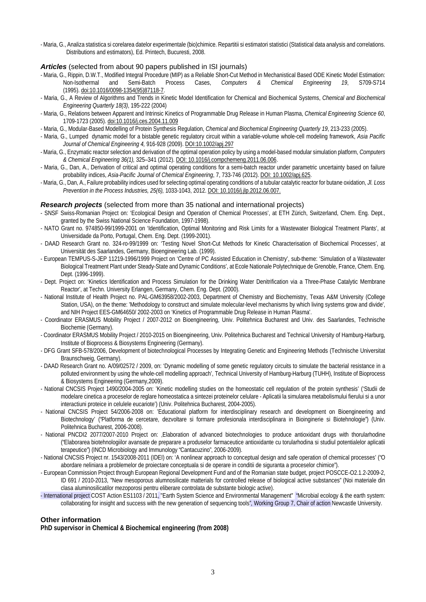-Maria, G., Analiza statistica si corelarea datelor experimentale (bio)chimice. Repartitii si estimatori statistici (Statistical data analysis and correlations. Distributions and estimators), Ed. Printech, Bucuresti, 2008.

## *Articles* (selected from about 90 papers published in ISI journals)

- Maria, G., Rippin, D.W.T., Modified Integral Procedure (MIP) as a Reliable Short-Cut Method in Mechanistical Based ODE Kinetic Model Estimation:<br>Non-Isothermal and Semi-Batch Process Cases, Computers & Chemical Engineeri Non-Isothermal and Semi-Batch Process Cases, *Computers & Chemical Engineering 19*, S709-S714 (1995)[. doi:10.1016/0098-1354\(95\)87118-7.](http://dx.doi.org/10.1016/0098-1354%2895%2987118-7)
- Maria, G., A Review of Algorithms and Trends in Kinetic Model Identification for Chemical and Biochemical Systems, *Chemical and Biochemical Engineering Quarterly 18(3)*, 195-222 (2004)
- Maria, G., Relations between Apparent and Intrinsic Kinetics of Programmable Drug Release in Human Plasma, *Chemical Engineering Science 60*, 1709-1723 (2005)[. doi:10.1016/j.ces.2004.11.009](http://dx.doi.org/10.1016/j.ces.2004.11.009)
- Maria, G., Modular-Based Modelling of Protein Synthesis Regulation, *Chemical and Biochemical Engineering Quarterly 19*, 213-233 (2005).
- Maria, G., Lumped dynamic model for a bistable genetic regulatory circuit within a variable-volume whole-cell modeling framework, *Asia Pacific Journal of Chemical Engineering 4,* 916-928 (2009). DOI:10.1002/apj.297
- -Maria, G., Enzymatic reactor selection and derivation of the optimal operation policy by using a model-based modular simulation platform, *Computers & Chemical Engineering 36(1),* 325–341 (2012). DOI: 10.1016/j.compchemeng.2011.06.006.
- Maria, G., Dan, A., Derivation of critical and optimal operating conditions for a semi-batch reactor under parametric uncertainty based on failure probability indices, *Asia-Pacific Journal of Chemical Engineering*, 7, 733-746 (2012). DOI: 10.1002/apj.625.
- -Maria, G., Dan, A., Failure probability indices used for selecting optimal operating conditions of a tubular catalytic reactor for butane oxidation, *Jl. Loss Prevention in the Process Industries, 25(6),* 1033-1043, 2012. DOI: 10.1016/j.jlp.2012.06.007.

### *Research projects* (selected from more than 35 national and international projects)

- SNSF Swiss-Romanian Project on: 'Ecological Design and Operation of Chemical Processes', at ETH Zürich, Switzerland, Chem. Eng. Dept., granted by the Swiss National Science Foundation, 1997-1998).
- NATO Grant no. 974850-99/1999-2001 on 'Identification, Optimal Monitoring and Risk Limits for a Wastewater Biological Treatment Plants', at Universidade da Porto, Portugal, Chem. Eng. Dept. (1999-2001).
- DAAD Research Grant no. 324-ro-99/1999 on: 'Testing Novel Short-Cut Methods for Kinetic Characterisation of Biochemical Processes', at Universität des Saarlandes, Germany, Bioengineering Lab. (1999).
- European TEMPUS-S-JEP 11219-1996/1999 Project on 'Centre of PC Assisted Education in Chemistry', sub-theme: 'Simulation of a Wastewater Biological Treatment Plant under Steady-State and Dynamic Conditions', at Ecole Nationale Polytechnique de Grenoble, France, Chem. Eng. Dept. (1996-1999).
- Dept. Project on: 'Kinetics Identification and Process Simulation for the Drinking Water Denitrification via a Three-Phase Catalytic Membrane Reactor', at Techn. University Erlangen, Germany, Chem. Eng. Dept. (2000).
- National Institute of Health Project no. PAL-GM63958/2002-2003, Department of Chemistry and Biochemistry, Texas A&M University (College Station, USA), on the theme: 'Methodology to construct and simulate molecular-level mechanisms by which living systems grow and divide', and NIH Project EES-GM64650/ 2002-2003 on 'Kinetics of Programmable Drug Release in Human Plasma'.
- Coordinator ERASMUS Mobility Project / 2007-2012 on Bioengineering, Univ. Politehnica Bucharest and Univ. des Saarlandes, Technische Biochemie (Germany).
- Coordinator ERASMUS Mobility Project / 2010-2015 on Bioengineering, Univ. Politehnica Bucharest and Technical University of Hamburg-Harburg, Institute of Bioprocess & Biosystems Engineering (Germany).
- DFG Grant SFB-578/2006, Development of biotechnological Processes by Integrating Genetic and Engineering Methods (Technische Universitat Braunschweig, Germany).
- DAAD Research Grant no. A/09/02572 / 2009, on: 'Dynamic modelling of some genetic regulatory circuits to simulate the bacterial resistance in a polluted environment by using the whole-cell modelling approach', Technical University of Hamburg-Harburg (TUHH), Institute of Bioprocess & Biosystems Engineering (Germany,2009).
- National CNCSIS Project 1490/2004-2005 on: 'Kinetic modelling studies on the homeostatic cell regulation of the protein synthesis' ('Studii de modelare cinetica a proceselor de reglare homeostatica a sintezei proteinelor celulare - Aplicatii la simularea metabolismului fierului si a unor interactiuni proteice in celulele eucariote') (Univ. Politehnica Bucharest, 2004-2005).
- National CNCSIS Project 54/2006-2008 on: 'Educational platform for interdisciplinary research and development on Bioengineering and Biotechnology' ("Platforma de cercetare, dezvoltare si formare profesionala interdisciplinara in Bioinginerie si Biotehnologie") (Univ. Politehnica Bucharest, 2006-2008).
- National PNCDI2 2077/2007-2010 Project on: 'Elaboration of advanced biotechnologies to produce antioxidant drugs with thorularhodine ("Elaborarea biotehnologiilor avansate de preparare a produselor farmaceutice antioxidante cu torularhodina si studiul potentialelor aplicatii terapeutice") (INCD Microbiology and Immunology "Cantacuzino", 2006-2009).
- National CNCSIS Project nr. 1543/2008-2011 (IDEI) on: 'A nonlinear approach to conceptual design and safe operation of chemical processes' ("O abordare neliniara a problemelor de proiectare conceptuala si de operare in conditii de siguranta a proceselor chimice").
- European Commission Project through European Regional Development Fund and of the Romanian state budget, project POSCCE-O2.1.2-2009-2, ID 691 / 2010-2013, "New mesoporous alumnosilicate matterials for controlled release of biological active substances" (Noi materiale din clasa aluminosilicatilor mezoporosi pentru eliberare controlata de substante biologic active).
- International project COST Action ES1103 / 2011, "Earth System Science and Environmental Management" "Microbial ecology & the earth system: collaborating for insight and success with the new generation of sequencing tools", Working Group 7, Chair of action Newcastle University.

## **Other information**

**PhD supervisor in Chemical & Biochemical engineering (from 2008)**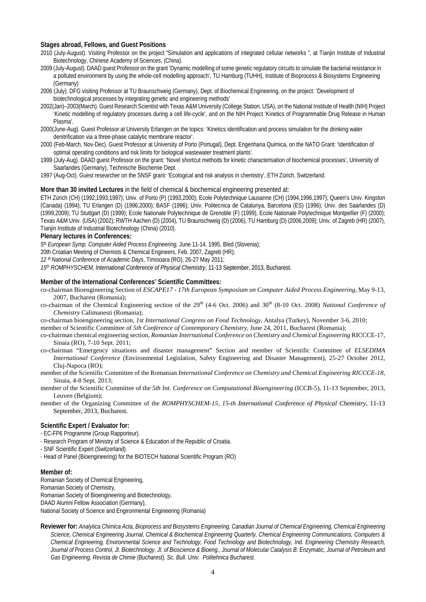#### **Stages abroad, Fellows, and Guest Positions**

- 2010 (July-August). Visiting Professor on the project "Simulation and applications of integrated cellular networks ", at Tianjin Institute of Industrial Biotechnology, Chinese Academy of Sciences, (China).
- 2009 (July-August). DAAD guest Professor on the grant 'Dynamic modelling of some genetic regulatory circuits to simulate the bacterial resistance in a polluted environment by using the whole-cell modelling approach', TU Hamburg (TUHH), Institute of Bioprocess & Biosystems Engineering (Germany)
- 2006 (July). DFG visiting Professor at TU Braunschweig (Germany), Dept. of Biochemical Engineering, on the project: 'Development of biotechnological processes by integrating genetic and engineering methods'
- 2002(Jan)–2003(March). Guest Research Scientist with Texas A&M University (College Station, USA), on the National Institute of Health (NIH) Project 'Kinetic modelling of regulatory processes during a cell life-cycle', and on the NIH Project 'Kinetics of Programmable Drug Release in Human Plasma'.
- 2000(June-Aug). Guest Professor at University Erlangen on the topics: 'Kinetics identification and process simulation for the drinking water denitrification via a three-phase catalytic membrane reactor'.
- 2000 (Feb-March, Nov-Dec). Guest Professor at University of Porto (Portugal), Dept. Engenharia Quimica, on the NATO Grant: 'Identification of optimal operating conditions and risk limits for biological wastewater treatment plants'.
- 1999 (July-Aug). DAAD guest Professor on the grant: 'Novel shortcut methods for kinetic characterisation of biochemical processes', University of Saarlandes (Germany), Technische Biochemie Dept.
- 1997 (Aug-Oct). Guest researcher on the SNSF grant: 'Ecological and risk analysis in chemistry', ETH Zürich, Switzerland.

#### **More than 30 invited Lectures** in the field of chemical & biochemical engineering presented at:

ETH Zürich (CH) (1992,1993,1997); Univ. of Porto (P) (1993,2000); Ecole Polytechnique Lausanne (CH) (1994,1996,1997); Queen's Univ. Kingston (Canada) (1994); TU Erlangen (D) (1996,2000); BASF (1996); Univ. Politecnica de Catalunya, Barcelona (ES) (1996); Univ. des Saarlandes (D) (1999,2009); TU Stuttgart (D) (1999); Ecole Nationale Polytechnique de Grenoble (F) (1999), Ecole Nationale Polytechnique Montpellier (F) (2000); Texas A&M Univ. (USA) (2002); RWTH Aachen (D) (2004), TU Braunschweig (D) (2006), TU Hamburg (D) (2006,2009); Univ. of Zagreb (HR) (2007), Tianjin Institute of Industrial Biotechnology (China) (2010).

#### **Plenary lectures in Conferences:**

*5th European Symp. Computer Aided Process Engineering,* June 11-14, 1995, Bled (Slovenia);

20th Croatian Meeting of Chemists & Chemical Engineers, Feb. 2007, Zagreb (HR);

*12 th National Conference of Academic Days*, Timisoara (RO), 26-27 May 2011;

*15th ROMPHYSCHEM, International Conference of Physical Chemistry*, 11-13 September, 2013, Bucharest.

#### **Member of the International Conferences' Scientific Committees:**

- co-chairman Bioengineering Section of *ESCAPE17 - 17th European Symposium on Computer Aided Process Engineering,* May 9-13, 2007, Bucharest (Romania);
- co-chairman of the Chemical Engineering section of the 29th (4-6 Oct. 2006) and 30th (8-10 Oct. 2008) *National Conference of Chemistry* Calimanesti (Romania);

co-chairman bioengineering section*, 1st International Congress on Food Technology*, Antalya (Turkey), November 3-6, 2010;

member of Scientific Committee of *5th Conference of Contemporary Chemistry,* June 24, 2011, Bucharest (Romania);

- co-chairman chemical engineering section, *Romanian International Conference on Chemistry and Chemical Engineering* RICCCE-17, Sinaia (RO), 7-10 Sept. 2011;
- co-chairman "Emergency situations and disaster management" Section and member of Scientific Committee of *ELSEDIMA International Conference* (Environmental Legislation, Safety Engineering and Disaster Management), 25-27 October 2012, Cluj-Napoca (RO);
- member of the Scientific Committee of the Romanian *International Conference on Chemistry and Chemical Engineering RICCCE-18*, Sinaia, 4-8 Sept. 2013;
- member of the Scientific Committee of the *5th Int. Conference on Computational Bioengineering* (ICCB-5), 11-13 September, 2013, Leuven (Belgium);
- member of the Organizing Committee of the *ROMPHYSCHEM-15, 15-th International Conference of Physical Chemistry*, 11-13 September, 2013, Bucharest.

## **Scientific Expert / Evaluator for:**

- EC-FP6 Programme (Group Rapporteur).
- Research Program of Ministry of Science & Education of the Republic of Croatia.
- SNF Scientific Expert (Switzerland).
- Head of Panel (Bioengineering) for the BIOTECH National Scientific Program (RO)

#### **Member of:**

Romanian Society of Chemical Engineering, Romanian Society of Chemistry, Romanian Society of Bioengineering and Biotechnology, DAAD Alumni Fellow Association (Germany), National Society of Science and Engironmental Engineering (Romania)

**Reviewer for:** *Analytica Chimica Acta, Bioprocess and Biosystems Engineering, Canadian Journal of Chemical Engineering, Chemical Engineering Science, Chemical Engineering Journal, Chemical & Biochemical Engineering Quarterly, Chemical Engineering Communications, Computers & Chemical Engineering, Environmental Science and Technology, Food Technology and Biotechnology, Ind. Engineering Chemistry Research,*  Journal of Process Control, Jl. Biotechnology, Jl. of Bioscience & Bioeng., Journal of Molecular Catalysis B: Enzymatic, Journal of Petroleum and *Gas Engineering, Revista de Chimie (Bucharest), Sc. Bull. Univ. Politehnica Bucharest.*